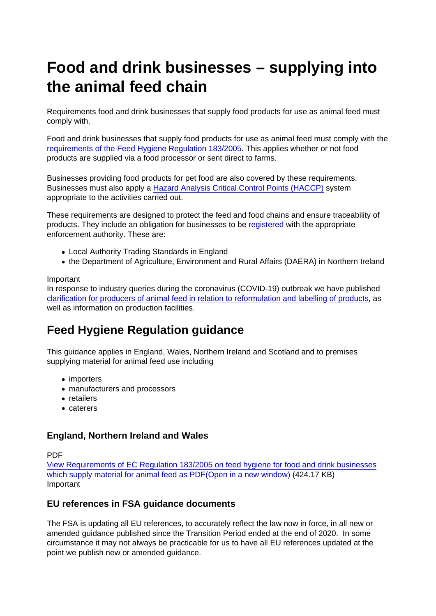# Food and drink businesses – supplying into the animal feed chain

Requirements food and drink businesses that supply food products for use as animal feed must comply with.

Food and drink businesses that supply food products for use as animal feed must comply with the [requirements of the Feed Hygiene Regulation 183/2005.](https://www.food.gov.uk/business-guidance/animal-feed-legislation) This applies whether or not food products are supplied via a food processor or sent direct to farms.

Businesses providing food products for pet food are also covered by these requirements. Businesses must also apply a [Hazard Analysis Critical Control Points \(HACCP\)](https://www.food.gov.uk/business-guidance/hazard-analysis-and-critical-control-point-haccp) system appropriate to the activities carried out.

These requirements are designed to protect the feed and food chains and ensure traceability of products. They include an obligation for businesses to be [registered](https://www.food.gov.uk/business-guidance/starting-an-animal-feed-business) with the appropriate enforcement authority. These are:

- Local Authority Trading Standards in England
- the Department of Agriculture, Environment and Rural Affairs (DAERA) in Northern Ireland

#### Important

In response to industry queries during the coronavirus (COVID-19) outbreak we have published [clarification for producers of animal feed in relation to reformulation and labelling of products](https://www.food.gov.uk/business-guidance/legal-clarifications-on-reformulation-and-animal-feed-production-establishments), as well as information on production facilities.

## Feed Hygiene Regulation guidance

This guidance applies in England, Wales, Northern Ireland and Scotland and to premises supplying material for animal feed use including

- importers
- manufacturers and processors
- retailers
- caterers

### England, Northern Ireland and Wales

PDF

[View Requirements of EC Regulation 183/2005 on feed hygiene for food and drink businesses](https://www.food.gov.uk/sites/default/files/media/document/feed-guidance-food-and-drink-businesses.pdf) [which supply material for animal feed as PDF\(Open in a new window\)](https://www.food.gov.uk/sites/default/files/media/document/feed-guidance-food-and-drink-businesses.pdf) (424.17 KB) Important

### EU references in FSA guidance documents

The FSA is updating all EU references, to accurately reflect the law now in force, in all new or amended guidance published since the Transition Period ended at the end of 2020. In some circumstance it may not always be practicable for us to have all EU references updated at the point we publish new or amended guidance.